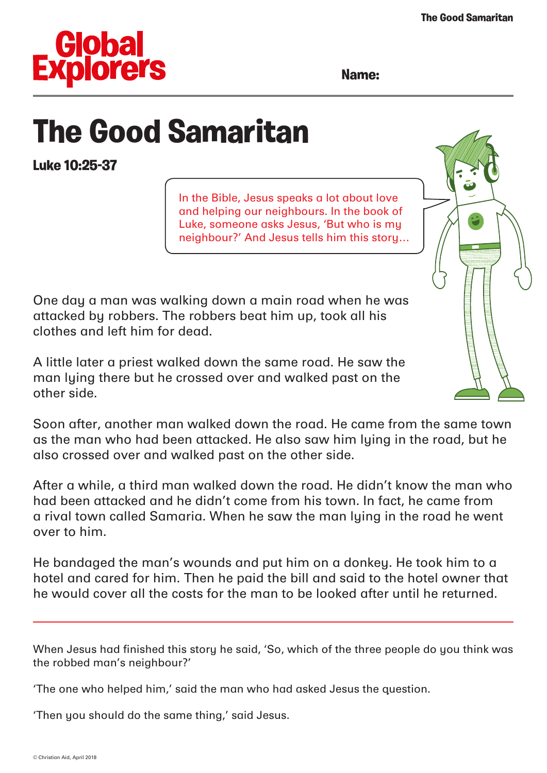

**Name:**

## **The Good Samaritan**

**Luke 10:25-37**

In the Bible, Jesus speaks a lot about love and helping our neighbours. In the book of Luke, someone asks Jesus, 'But who is my neighbour?' And Jesus tells him this story…

One day a man was walking down a main road when he was attacked by robbers. The robbers beat him up, took all his clothes and left him for dead.

A little later a priest walked down the same road. He saw the man lying there but he crossed over and walked past on the other side.

Soon after, another man walked down the road. He came from the same town as the man who had been attacked. He also saw him lying in the road, but he also crossed over and walked past on the other side.

After a while, a third man walked down the road. He didn't know the man who had been attacked and he didn't come from his town. In fact, he came from a rival town called Samaria. When he saw the man lying in the road he went over to him.

He bandaged the man's wounds and put him on a donkey. He took him to a hotel and cared for him. Then he paid the bill and said to the hotel owner that he would cover all the costs for the man to be looked after until he returned.

When Jesus had finished this story he said, 'So, which of the three people do you think was the robbed man's neighbour?'

'The one who helped him,' said the man who had asked Jesus the question.

'Then you should do the same thing,' said Jesus.